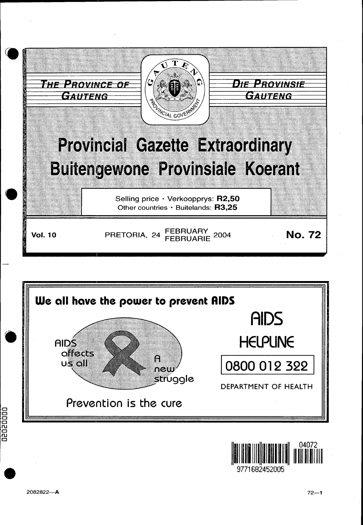





02020000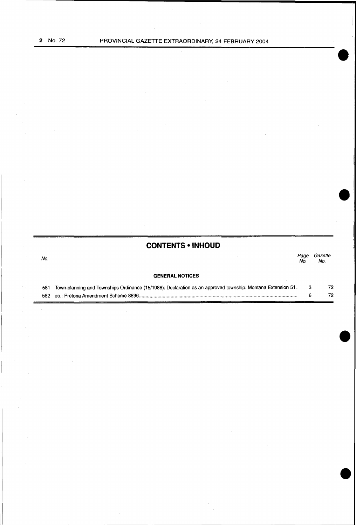# **CONTENTS • INHOUD**

 $\hat{\boldsymbol{\theta}}$ 

| No. |  | No. | Page Gazette<br>No. |
|-----|--|-----|---------------------|
|     |  |     |                     |

# **GENERAL NOTICES**

| 581 Town-planning and Townships Ordinance (15/1986): Declaration as an approved township: Montana Extension 51. | 72 |
|-----------------------------------------------------------------------------------------------------------------|----|
|                                                                                                                 |    |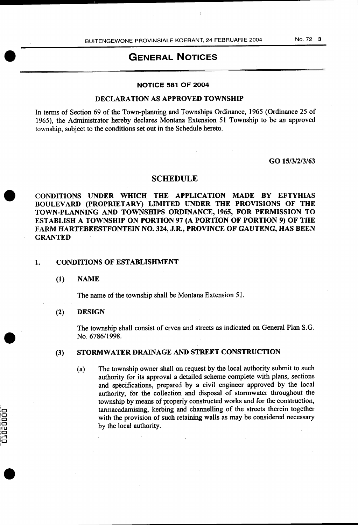# GENERAL NOTICES

# NOTICE 581 OF 2004

# DECLARATION AS APPROVED TOWNSHIP

In terms of Section 69 of the Town-planning and Townships Ordinance, 1965 (Ordinance 25 of 1965), the Administrator hereby declares Montana Extension 51 Township to be an approved township, subject to the conditions set out in the Schedule hereto.

GO 15/3/2/3/63

## SCHEDULE

CONDITIONS UNDER WHICH THE APPLICATION MADE BY EFTYHIAS BOULEVARD (PROPRIETARY) LIMITED UNDER THE PROVISIONS OF THE TOWN-PLANNING AND TOWNSHIPS ORDINANCE, 1965, FOR PERMISSION TO ESTABLISH A TOWNSHIP ON PORTION 97 (A PORTION OF PORTION 9) OF THE FARM HARTEBEESTFONTEIN NO. 324, J.R., PROVINCE OF GAUTENG, HAS BEEN GRANTED

### 1. CONDITIONS OF ESTABLISHMENT

(1) NAME

The name of the township shall be Montana Extension 51.

#### (2) DESIGN

**COOCCCC** 

The township shall consist of erven and streets as indicated on General Plan S.G. No. 6786/1998.

#### (3) STORMWATER DRAINAGE AND STREET CONSTRUCTION

(a) The township owner shall on request by the local authority submit to such authority for its approval a detailed scheme complete with plans, sections and specifications, prepared by a civil engineer approved by the local authority, for the collection and disposal of stormwater throughout the township by means of properly constructed works and for the construction, tarmacadamising, kerbing and channelling of the streets therein together with the provision of such retaining walls as may be considered necessary by the local authority.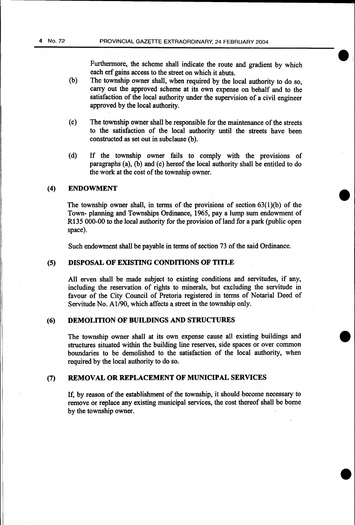Furthermore, the scheme shall indicate the route and gradient by which each erf gains access to the street on which it abuts.

- (b) The township owner shall, when required by the local authority to do so, carry out the approved scheme at its own expense on behalf and to the satisfaction of the local authority under the supervision of a civil engineer approved by the local authority.
- (c) The township owner shall be responsible for the maintenance of the streets to the satisfaction of the local authority until the streets have been constructed as set out in subclause (b).
- (d) If the township owner fails to comply with the provisions of paragraphs (a), (b) and (c) hereof the local authority shall be entitled to do the work at the cost of the township owner.

#### (4) ENDOWMENT

The township owner shall, in terms of the provisions of section  $63(1)(b)$  of the Town~ planning and Townships Ordinance, 1965, pay a lump sum endowment of R135 000-00 to the local authority for the provision of land for a park (public open space).

Such endowment shall be payable in terms of section 73 of the said Ordinance.

#### (5) DISPOSAL OF EXISTING CONDITIONS OF TITLE

All erven shall be made subject to existing conditions and servitudes, if any, including the reservation of rights to minerals, but excluding the servitude in favour of the City Council of Pretoria registered in terms of Notarial Deed of Servitude No. Al/90, which affects a street in the township only.

# (6) DEMOLITION OF BUILDINGS AND STRUCTURES

The township owner shall at its own expense cause all existing buildings and structures situated within the building line reserves, side spaces or over common boundaries to be demolished to the satisfaction of the local authority, when required by the local authority to do so.

# (7) REMOVAL OR REPLACEMENT OF MUNICIPAL SERVICES

If, by reason of the establishment of the township, it should become necessary to remove or replace any existing municipal services, the cost thereof shall be borne by the township owner.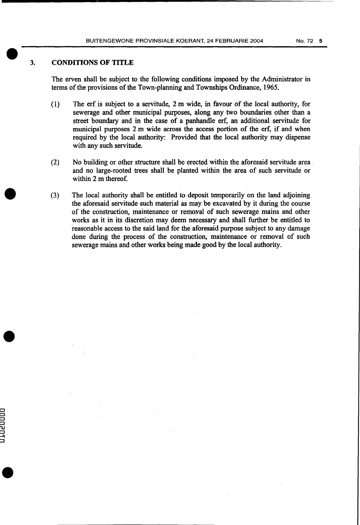### 3. CONDITIONS OF TITLE

CJ CJ  $\Box$ CJ  $\overline{\mathbf{u}}$ CJ -7  $\Box$ 

The erven shall be subject to the following conditions imposed by the Administrator in terms of the provisions of the Town-planning and Townships Ordinance, 1965.

- (1) The erf is subject to a servitude, 2 m wide, in favour of the local authority, for sewerage and other municipal purposes, along any two boundaries other than a street boundary and in the case of a panhandle erf, an additional servitude for municipal purposes 2 m wide across the access portion of the erf, if and when required by the local authority: Provided that the local authority may dispense with any such servitude.
- (2) No building or other structure shall be erected within the aforesaid servitude area . and no large-rooted trees shall be planted within the area of such servitude or within 2 m thereof.
- (3) The local authority shall be entitled to deposit temporarily on the land adjoining the aforesaid servitude such material as may be excavated by it during the course of the construction, maintenance or removal of such sewerage mains and other works as it in its discretion may deem necessary and shall further be entitled to reasonable access to the said land for the aforesaid purpose subject to any damage done during the process of the construction, maintenance or removal of such sewerage mains and other works being made good by the local authority.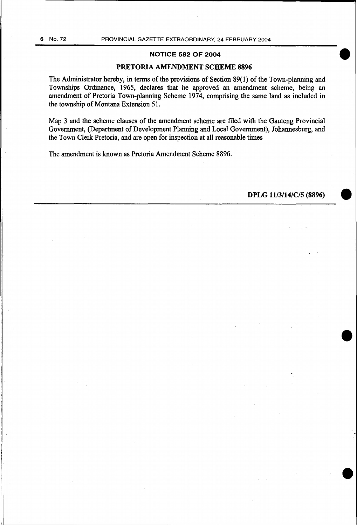## NOTICE 582 OF 2004

### PRETORIA AMENDMENT SCHEME 8896

The Administrator hereby, in terms of the provisions of Section 89(1) of the Town-planning and Townships Ordinance, 1965, declares that he approved an amendment scheme, being an amendment of Pretoria Town-planning Scheme 1974, comprising the same land as included in the township of Montana Extension 51.

Map 3 and the scheme clauses of the amendment scheme are filed with the Gauteng Provincial Government, (Department of Development Planning and Local Government), Johannesburg, and the Town Clerk Pretoria, and are open for inspection at all reasonable times

The amendment is known as Pretoria Amendment Scheme 8896.

DPLG 11/3/14/C/5 (8896)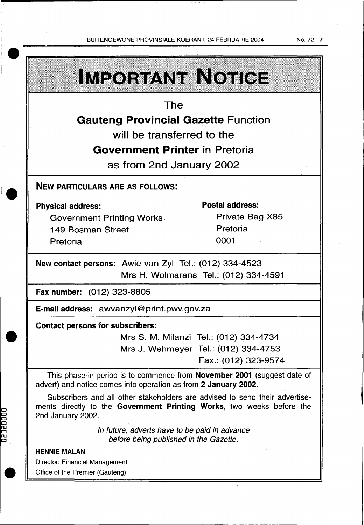BUITENGEWONE PROVINSIALE KOERANT, 24 FEBRUARIE 2004

 $5 - 18 - 11 - 1$ 

No. 72 7

|                                                                                                                                                                           |  | <b>IMPORTANT NOTICE</b>                |  |  |  |  |
|---------------------------------------------------------------------------------------------------------------------------------------------------------------------------|--|----------------------------------------|--|--|--|--|
| The                                                                                                                                                                       |  |                                        |  |  |  |  |
| <b>Gauteng Provincial Gazette Function</b>                                                                                                                                |  |                                        |  |  |  |  |
| will be transferred to the                                                                                                                                                |  |                                        |  |  |  |  |
| <b>Government Printer in Pretoria</b>                                                                                                                                     |  |                                        |  |  |  |  |
| as from 2nd January 2002                                                                                                                                                  |  |                                        |  |  |  |  |
| <b>NEW PARTICULARS ARE AS FOLLOWS:</b>                                                                                                                                    |  |                                        |  |  |  |  |
| <b>Physical address:</b>                                                                                                                                                  |  | <b>Postal address:</b>                 |  |  |  |  |
| <b>Government Printing Works.</b>                                                                                                                                         |  | Private Bag X85                        |  |  |  |  |
| <b>149 Bosman Street</b>                                                                                                                                                  |  | Pretoria                               |  |  |  |  |
| Pretoria                                                                                                                                                                  |  | 0001                                   |  |  |  |  |
| New contact persons: Awie van Zyl Tel.: (012) 334-4523                                                                                                                    |  |                                        |  |  |  |  |
|                                                                                                                                                                           |  | Mrs H. Wolmarans Tel.: (012) 334-4591  |  |  |  |  |
| Fax number: (012) 323-8805                                                                                                                                                |  |                                        |  |  |  |  |
| E-mail address: awvanzyl@print.pwv.gov.za                                                                                                                                 |  |                                        |  |  |  |  |
| <b>Contact persons for subscribers:</b>                                                                                                                                   |  |                                        |  |  |  |  |
|                                                                                                                                                                           |  | Mrs S. M. Milanzi Tel.: (012) 334-4734 |  |  |  |  |
|                                                                                                                                                                           |  | Mrs J. Wehmeyer Tel.: (012) 334-4753   |  |  |  |  |
|                                                                                                                                                                           |  | Fax.: (012) 323-9574                   |  |  |  |  |
| This phase-in period is to commence from <b>November 2001</b> (suggest date of<br>advert) and notice comes into operation as from 2 January 2002.                         |  |                                        |  |  |  |  |
| Subscribers and all other stakeholders are advised to send their advertise-<br>ments directly to the Government Printing Works, two weeks before the<br>2nd January 2002. |  |                                        |  |  |  |  |
| In future, adverts have to be paid in advance<br>before being published in the Gazette.                                                                                   |  |                                        |  |  |  |  |
| <b>HENNIE MALAN</b>                                                                                                                                                       |  |                                        |  |  |  |  |
| <b>Director: Financial Management</b>                                                                                                                                     |  |                                        |  |  |  |  |
| Office of the Premier (Gauteng)                                                                                                                                           |  |                                        |  |  |  |  |

 $\bar{z}$